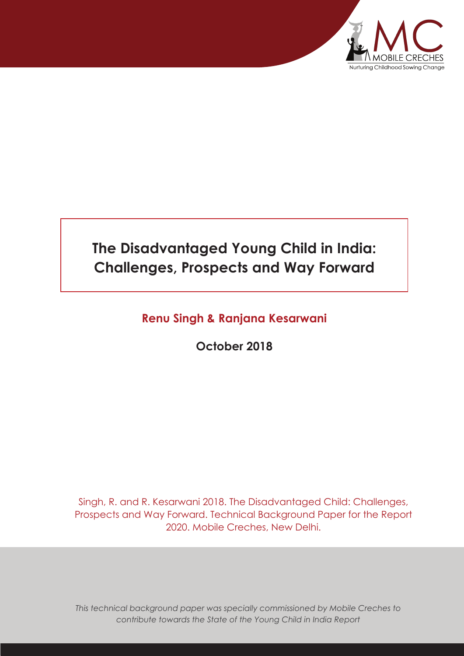

# **The Disadvantaged Young Child in India: Challenges, Prospects and Way Forward**

# **Renu Singh & Ranjana Kesarwani**

**October 2018**

Singh, R. and R. Kesarwani 2018. The Disadvantaged Child: Challenges, Prospects and Way Forward. Technical Background Paper for the Report 2020. Mobile Creches, New Delhi.

*This technical background paper was specially commissioned by Mobile Creches to contribute towards the State of the Young Child in India Report*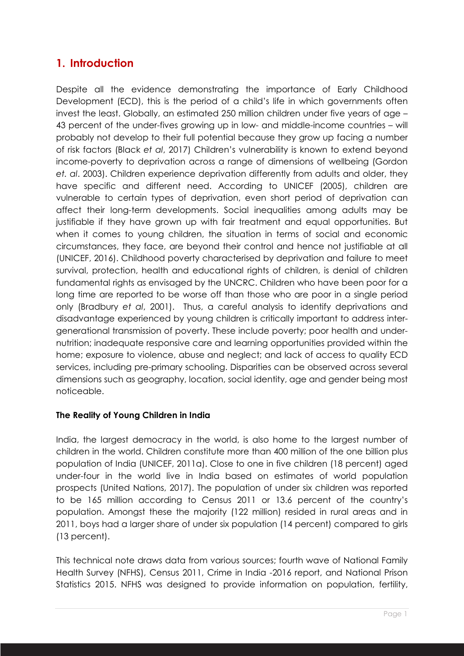# **1. Introduction**

Despite all the evidence demonstrating the importance of Early Childhood Development (ECD), this is the period of a child's life in which governments often invest the least. Globally, an estimated 250 million children under five years of age – 43 percent of the under-fives growing up in low- and middle-income countries – will probably not develop to their full potential because they grow up facing a number of risk factors (Black *et al*, 2017) Children's vulnerability is known to extend beyond income-poverty to deprivation across a range of dimensions of wellbeing (Gordon *et. al*. 2003). Children experience deprivation differently from adults and older, they have specific and different need. According to UNICEF (2005), children are vulnerable to certain types of deprivation, even short period of deprivation can affect their long-term developments. Social inequalities among adults may be justifiable if they have grown up with fair treatment and equal opportunities. But when it comes to young children, the situation in terms of social and economic circumstances, they face, are beyond their control and hence not justifiable at all (UNICEF, 2016). Childhood poverty characterised by deprivation and failure to meet survival, protection, health and educational rights of children, is denial of children fundamental rights as envisaged by the UNCRC. Children who have been poor for a long time are reported to be worse off than those who are poor in a single period only (Bradbury *et al*, 2001). Thus, a careful analysis to identify deprivations and disadvantage experienced by young children is critically important to address intergenerational transmission of poverty. These include poverty; poor health and undernutrition; inadequate responsive care and learning opportunities provided within the home; exposure to violence, abuse and neglect; and lack of access to quality ECD services, including pre-primary schooling. Disparities can be observed across several dimensions such as geography, location, social identity, age and gender being most noticeable.

#### **The Reality of Young Children in India**

India, the largest democracy in the world, is also home to the largest number of children in the world. Children constitute more than 400 million of the one billion plus population of India (UNICEF, 2011a). Close to one in five children (18 percent) aged under-four in the world live in India based on estimates of world population prospects (United Nations, 2017). The population of under six children was reported to be 165 million according to Census 2011 or 13.6 percent of the country's population. Amongst these the majority (122 million) resided in rural areas and in 2011, boys had a larger share of under six population (14 percent) compared to girls (13 percent).

This technical note draws data from various sources; fourth wave of National Family Health Survey (NFHS), Census 2011, Crime in India -2016 report, and National Prison Statistics 2015. NFHS was designed to provide information on population, fertility,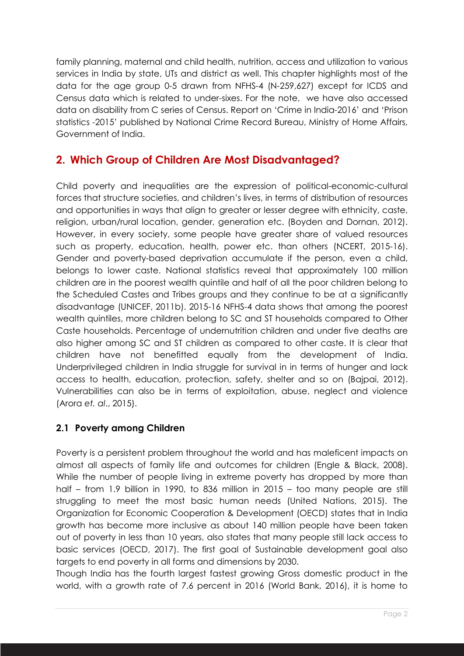family planning, maternal and child health, nutrition, access and utilization to various services in India by state, UTs and district as well. This chapter highlights most of the data for the age group 0-5 drawn from NFHS-4 (N-259,627) except for ICDS and Census data which is related to under-sixes. For the note, we have also accessed data on disability from C series of Census. Report on 'Crime in India-2016' and 'Prison statistics -2015' published by National Crime Record Bureau, Ministry of Home Affairs, Government of India.

# **2. Which Group of Children Are Most Disadvantaged?**

Child poverty and inequalities are the expression of political-economic-cultural forces that structure societies, and children's lives, in terms of distribution of resources and opportunities in ways that align to greater or lesser degree with ethnicity, caste, religion, urban/rural location, gender, generation etc. (Boyden and Dornan, 2012). However, in every society, some people have greater share of valued resources such as property, education, health, power etc. than others (NCERT, 2015-16). Gender and poverty-based deprivation accumulate if the person, even a child, belongs to lower caste. National statistics reveal that approximately 100 million children are in the poorest wealth quintile and half of all the poor children belong to the Scheduled Castes and Tribes groups and they continue to be at a significantly disadvantage (UNICEF, 2011b). 2015-16 NFHS-4 data shows that among the poorest wealth quintiles, more children belong to SC and ST households compared to Other Caste households. Percentage of undernutrition children and under five deaths are also higher among SC and ST children as compared to other caste. It is clear that children have not benefitted equally from the development of India. Underprivileged children in India struggle for survival in in terms of hunger and lack access to health, education, protection, safety, shelter and so on (Bajpai, 2012). Vulnerabilities can also be in terms of exploitation, abuse, neglect and violence (Arora *et. al*., 2015).

## **2.1 Poverty among Children**

Poverty is a persistent problem throughout the world and has maleficent impacts on almost all aspects of family life and outcomes for children (Engle & Black, 2008). While the number of people living in extreme poverty has dropped by more than half – from 1.9 billion in 1990, to 836 million in 2015 – too many people are still struggling to meet the most basic human needs (United Nations, 2015). The Organization for Economic Cooperation & Development (OECD) states that in India growth has become more inclusive as about 140 million people have been taken out of poverty in less than 10 years, also states that many people still lack access to basic services (OECD, 2017). The first goal of Sustainable development goal also targets to end poverty in all forms and dimensions by 2030.

Though India has the fourth largest fastest growing Gross domestic product in the world, with a growth rate of 7.6 percent in 2016 (World Bank, 2016), it is home to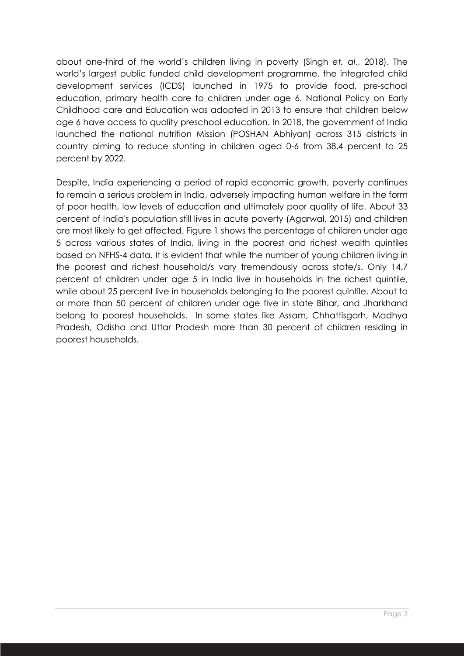about one-third of the world's children living in poverty (Singh *et. al*., 2018). The world's largest public funded child development programme, the integrated child development services (ICDS) launched in 1975 to provide food, pre-school education, primary health care to children under age 6. National Policy on Early Childhood care and Education was adopted in 2013 to ensure that children below age 6 have access to quality preschool education. In 2018, the government of India launched the national nutrition Mission (POSHAN Abhiyan) across 315 districts in country aiming to reduce stunting in children aged 0-6 from 38.4 percent to 25 percent by 2022.

Despite, India experiencing a period of rapid economic growth, poverty continues to remain a serious problem in India, adversely impacting human welfare in the form of poor health, low levels of education and ultimately poor quality of life. About 33 percent of India's population still lives in acute poverty (Agarwal, 2015) and children are most likely to get affected. Figure 1 shows the percentage of children under age 5 across various states of India, living in the poorest and richest wealth quintiles based on NFHS-4 data. It is evident that while the number of young children living in the poorest and richest household/s vary tremendously across state/s. Only 14.7 percent of children under age 5 in India live in households in the richest quintile, while about 25 percent live in households belonging to the poorest quintile. About to or more than 50 percent of children under age five in state Bihar, and Jharkhand belong to poorest households. In some states like Assam, Chhattisgarh, Madhya Pradesh, Odisha and Uttar Pradesh more than 30 percent of children residing in poorest households.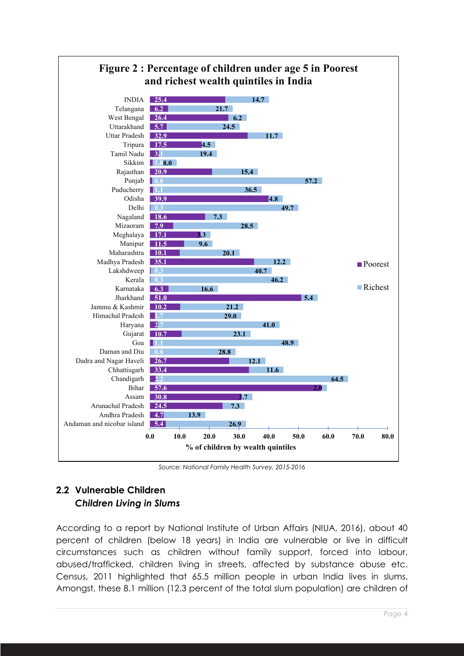

*Source: National Family Health Survey, 2015-2016*

## **2.2 Vulnerable Children** *Children Living in Slums*

According to a report by National Institute of Urban Affairs (NIUA, 2016), about 40 percent of children (below 18 years) in India are vulnerable or live in difficult circumstances such as children without family support, forced into labour, abused/trafficked, children living in streets, affected by substance abuse etc. Census, 2011 highlighted that 65.5 million people in urban India lives in slums. Amongst, these 8.1 million (12.3 percent of the total slum population) are children of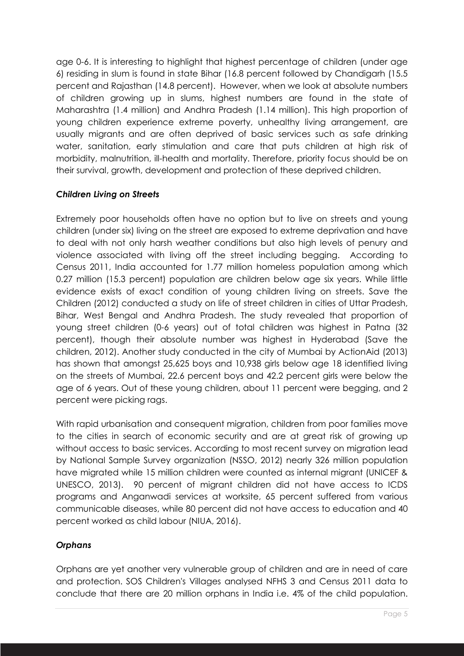age 0-6. It is interesting to highlight that highest percentage of children (under age 6) residing in slum is found in state Bihar (16.8 percent followed by Chandigarh (15.5 percent and Rajasthan (14.8 percent). However, when we look at absolute numbers of children growing up in slums, highest numbers are found in the state of Maharashtra (1.4 million) and Andhra Pradesh (1.14 million). This high proportion of young children experience extreme poverty, unhealthy living arrangement, are usually migrants and are often deprived of basic services such as safe drinking water, sanitation, early stimulation and care that puts children at high risk of morbidity, malnutrition, ill-health and mortality. Therefore, priority focus should be on their survival, growth, development and protection of these deprived children.

#### *Children Living on Streets*

Extremely poor households often have no option but to live on streets and young children (under six) living on the street are exposed to extreme deprivation and have to deal with not only harsh weather conditions but also high levels of penury and violence associated with living off the street including begging. According to Census 2011, India accounted for 1.77 million homeless population among which 0.27 million (15.3 percent) population are children below age six years. While little evidence exists of exact condition of young children living on streets. Save the Children (2012) conducted a study on life of street children in cities of Uttar Pradesh, Bihar, West Bengal and Andhra Pradesh. The study revealed that proportion of young street children (0-6 years) out of total children was highest in Patna (32 percent), though their absolute number was highest in Hyderabad (Save the children, 2012). Another study conducted in the city of Mumbai by ActionAid (2013) has shown that amongst 25,625 boys and 10,938 girls below age 18 identified living on the streets of Mumbai, 22.6 percent boys and 42.2 percent girls were below the age of 6 years. Out of these young children, about 11 percent were begging, and 2 percent were picking rags.

With rapid urbanisation and consequent migration, children from poor families move to the cities in search of economic security and are at great risk of growing up without access to basic services. According to most recent survey on migration lead by National Sample Survey organization (NSSO, 2012) nearly 326 million population have migrated while 15 million children were counted as internal migrant (UNICEF & UNESCO, 2013). 90 percent of migrant children did not have access to ICDS programs and Anganwadi services at worksite, 65 percent suffered from various communicable diseases, while 80 percent did not have access to education and 40 percent worked as child labour (NIUA, 2016).

#### *Orphans*

Orphans are yet another very vulnerable group of children and are in need of care and protection. SOS Children's Villages analysed NFHS 3 and Census 2011 data to conclude that there are 20 million orphans in India i.e. 4% of the child population.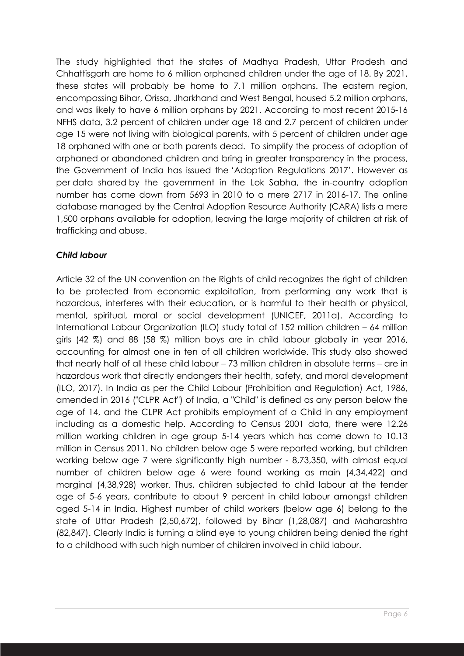The study highlighted that the states of Madhya Pradesh, Uttar Pradesh and Chhattisgarh are home to 6 million orphaned children under the age of 18. By 2021, these states will probably be home to 7.1 million orphans. The eastern region, encompassing Bihar, Orissa, Jharkhand and West Bengal, housed 5.2 million orphans, and was likely to have 6 million orphans by 2021. According to most recent 2015-16 NFHS data, 3.2 percent of children under age 18 and 2.7 percent of children under age 15 were not living with biological parents, with 5 percent of children under age 18 orphaned with one or both parents dead. To simplify the process of adoption of orphaned or abandoned children and bring in greater transparency in the process, the Government of India has issued the 'Adoption Regulations 2017'. However as per data shared by the government in the Lok Sabha, the in-country adoption number has come down from 5693 in 2010 to a mere 2717 in 2016-17. The online database managed by the Central Adoption Resource Authority (CARA) lists a mere 1,500 orphans available for adoption, leaving the large majority of children at risk of trafficking and abuse.

#### *Child labour*

Article 32 of the UN convention on the Rights of child recognizes the right of children to be protected from economic exploitation, from performing any work that is hazardous, interferes with their education, or is harmful to their health or physical, mental, spiritual, moral or social development (UNICEF, 2011a). According to International Labour Organization (ILO) study total of 152 million children – 64 million girls (42 %) and 88 (58 %) million boys are in child labour globally in year 2016, accounting for almost one in ten of all children worldwide. This study also showed that nearly half of all these child labour – 73 million children in absolute terms – are in hazardous work that directly endangers their health, safety, and moral development (ILO, 2017). In India as per the Child Labour (Prohibition and Regulation) Act, 1986, amended in 2016 ("CLPR Act") of India, a "Child" is defined as any person below the age of 14, and the CLPR Act prohibits employment of a Child in any employment including as a domestic help. According to Census 2001 data, there were 12.26 million working children in age group 5-14 years which has come down to 10.13 million in Census 2011. No children below age 5 were reported working, but children working below age 7 were significantly high number - 8,73,350, with almost equal number of children below age 6 were found working as main (4,34,422) and marginal (4,38,928) worker. Thus, children subjected to child labour at the tender age of 5-6 years, contribute to about 9 percent in child labour amongst children aged 5-14 in India. Highest number of child workers (below age 6) belong to the state of Uttar Pradesh (2,50,672), followed by Bihar (1,28,087) and Maharashtra (82,847). Clearly India is turning a blind eye to young children being denied the right to a childhood with such high number of children involved in child labour.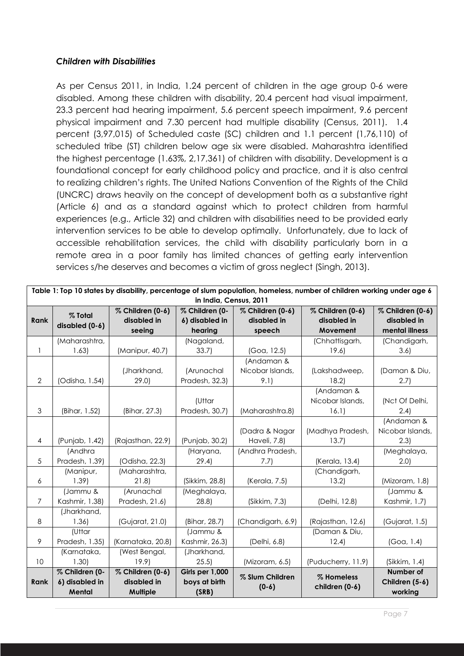#### *Children with Disabilities*

As per Census 2011, in India, 1.24 percent of children in the age group 0-6 were disabled. Among these children with disability, 20.4 percent had visual impairment, 23.3 percent had hearing impairment, 5.6 percent speech impairment, 9.6 percent physical impairment and 7.30 percent had multiple disability (Census, 2011). 1.4 percent (3,97,015) of Scheduled caste (SC) children and 1.1 percent (1,76,110) of scheduled tribe (ST) children below age six were disabled. Maharashtra identified the highest percentage (1.63%, 2,17,361) of children with disability. Development is a foundational concept for early childhood policy and practice, and it is also central to realizing children's rights. The United Nations Convention of the Rights of the Child (UNCRC) draws heavily on the concept of development both as a substantive right (Article 6) and as a standard against which to protect children from harmful experiences (e.g., Article 32) and children with disabilities need to be provided early intervention services to be able to develop optimally. Unfortunately, due to lack of accessible rehabilitation services, the child with disability particularly born in a remote area in a poor family has limited chances of getting early intervention services s/he deserves and becomes a victim of gross neglect (Singh, 2013).

| Table 1: Top 10 states by disability, percentage of slum population, homeless, number of children working under age 6 |                |                   |                 |                   |                    |                  |  |
|-----------------------------------------------------------------------------------------------------------------------|----------------|-------------------|-----------------|-------------------|--------------------|------------------|--|
| in India, Census, 2011                                                                                                |                |                   |                 |                   |                    |                  |  |
|                                                                                                                       | % Total        | % Children (0-6)  | % Children (0-  | % Children (0-6)  | % Children (0-6)   | % Children (0-6) |  |
| <b>Rank</b>                                                                                                           | disabled (0-6) | disabled in       | 6) disabled in  | disabled in       | disabled in        | disabled in      |  |
|                                                                                                                       |                | seeing            | hearing         | speech            | Movement           | mental illness   |  |
|                                                                                                                       | (Maharashtra,  |                   | (Nagaland,      |                   | (Chhattisgarh,     | (Chandigarh,     |  |
| $\mathbf{1}$                                                                                                          | 1.63           | (Manipur, 40.7)   | 33.7            | (Goa, 12.5)       | 19.6               | 3.6)             |  |
|                                                                                                                       |                |                   |                 | (Andaman &        |                    |                  |  |
|                                                                                                                       |                | (Jharkhand,       | (Arunachal      | Nicobar Islands,  | (Lakshadweep,      | (Daman & Diu,    |  |
| $\overline{2}$                                                                                                        | (Odisha, 1.54) | 29.0              | Pradesh, 32.3)  | 9.1)              | 18.2               | 2.7)             |  |
|                                                                                                                       |                |                   |                 |                   | (Andaman &         |                  |  |
|                                                                                                                       |                |                   | (Uttar          |                   | Nicobar Islands,   | (Nct Of Delhi,   |  |
| 3                                                                                                                     | (Bihar, 1.52)  | (Bihar, 27.3)     | Pradesh, 30.7)  | (Maharashtra.8)   | 16.1)              | 2.4)             |  |
|                                                                                                                       |                |                   |                 |                   |                    | (Andaman &       |  |
|                                                                                                                       |                |                   |                 | (Dadra & Nagar    | (Madhya Pradesh,   | Nicobar Islands, |  |
| 4                                                                                                                     | (Punjab, 1.42) | (Rajasthan, 22.9) | (Punjab, 30.2)  | Haveli, 7.8)      | 13.7               | 2.3              |  |
|                                                                                                                       | (Andhra        |                   | (Haryana,       | (Andhra Pradesh,  |                    | (Meghalaya,      |  |
| 5                                                                                                                     | Pradesh, 1.39) | (Odisha, 22.3)    | 29.4)           | 7.7)              | (Kerala, 13.4)     | 2.0              |  |
|                                                                                                                       | (Manipur,      | (Maharashtra,     |                 |                   | (Chandigarh,       |                  |  |
| 6                                                                                                                     | 1.39           | 21.8              | (Sikkim, 28.8)  | (Kerala, 7.5)     | 13.2)              | (Mizoram, 1.8)   |  |
|                                                                                                                       | (Jammu &       | (Arunachal        | (Meghalaya,     |                   |                    | (Jammu &         |  |
| 7                                                                                                                     | Kashmir, 1.38) | Pradesh, 21.6)    | 28.8            | (Sikkim, 7.3)     | (Delhi, 12.8)      | Kashmir, 1.7)    |  |
|                                                                                                                       | (Jharkhand,    |                   |                 |                   |                    |                  |  |
| 8                                                                                                                     | 1.36           | (Gujarat, 21.0)   | (Bihar, 28.7)   | (Chandigarh, 6.9) | (Rajasthan, 12.6)  | (Gujarat, 1.5)   |  |
|                                                                                                                       | (Uttar         |                   | (Jammu &        |                   | (Daman & Diu,      |                  |  |
| 9                                                                                                                     | Pradesh, 1.35) | (Karnataka, 20.8) | Kashmir, 26.3)  | (Delhi, 6.8)      | 12.4)              | (Goa, 1.4)       |  |
|                                                                                                                       | (Karnataka,    | (West Bengal,     | (Jharkhand,     |                   |                    |                  |  |
| 10                                                                                                                    | 1.30           | 19.9              | 25.5            | (Mizoram, 6.5)    | (Puducherry, 11.9) | (Sikkim, 1.4)    |  |
|                                                                                                                       | % Children (0- | % Children (0-6)  | Girls per 1,000 | % Slum Children   | % Homeless         | Number of        |  |
| <b>Rank</b>                                                                                                           | 6) disabled in | disabled in       | boys at birth   | $(0-6)$           | children (0-6)     | Children (5-6)   |  |
|                                                                                                                       | Mental         | Multiple          | (SRB)           |                   |                    | working          |  |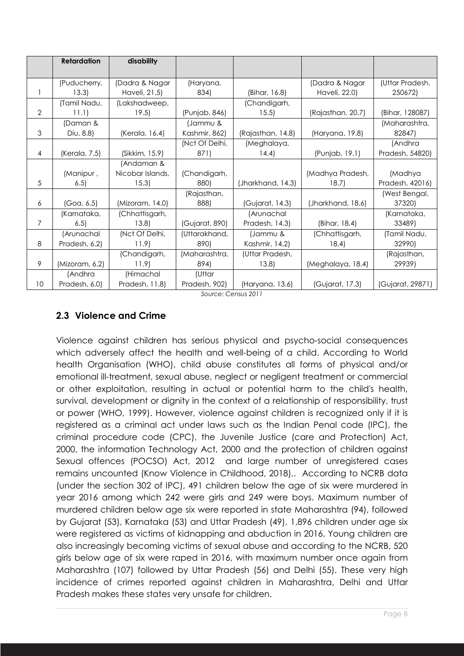|                | <b>Retardation</b> | disability       |                |                   |                   |                  |
|----------------|--------------------|------------------|----------------|-------------------|-------------------|------------------|
|                |                    |                  |                |                   |                   |                  |
|                | (Puducherry,       | (Dadra & Nagar   | (Haryana,      |                   | (Dadra & Nagar    | (Uttar Pradesh,  |
|                | 13.3)              | Haveli, 21.5)    | 834)           | (Bihar, 16.8)     | Haveli, 22.0)     | 250672)          |
|                | (Tamil Nadu,       | (Lakshadweep,    |                | (Chandigarh,      |                   |                  |
| $\overline{2}$ | 11.1)              | 19.5)            | (Punjab, 846)  | 15.5              | (Rajasthan, 20.7) | (Bihar, 128087)  |
|                | (Daman &           |                  | (Jammu &       |                   |                   | (Maharashtra,    |
| 3              | Diu, 8.8)          | (Kerala, 16.4)   | Kashmir, 862)  | (Rajasthan, 14.8) | (Haryana, 19.8)   | 82847)           |
|                |                    |                  | (Nct Of Delhi, | (Meghalaya,       |                   | (Andhra          |
| $\overline{4}$ | (Kerala, 7.5)      | (Sikkim, 15.9)   | 871)           | 14.4)             | (Punjab, 19.1)    | Pradesh, 54820)  |
|                |                    | (Andaman &       |                |                   |                   |                  |
|                | (Manipur,          | Nicobar Islands, | (Chandigarh,   |                   | (Madhya Pradesh,  | (Madhya          |
| 5              | 6.5                | 15.3)            | 880)           | (Jharkhand, 14.3) | 18.7)             | Pradesh, 42016)  |
|                |                    |                  | (Rajasthan,    |                   |                   | (West Bengal,    |
| 6              | (Goa, 6.5)         | (Mizoram, 14.0)  | 888)           | (Gujarat, 14.3)   | (Jharkhand, 18.6) | 37320)           |
|                | (Karnataka,        | (Chhattisgarh,   |                | (Arunachal        |                   | (Karnataka,      |
| 7              | 6.5                | 13.8             | (Gujarat, 890) | Pradesh, 14.3)    | (Bihar, 18.4)     | 33489)           |
|                | (Arunachal         | (Nct Of Delhi,   | (Uttarakhand,  | (Jammu &          | (Chhattisgarh,    | (Tamil Nadu,     |
| 8              | Pradesh, 6.2)      | 11.9             | 890)           | Kashmir, 14.2)    | 18.4)             | 32990)           |
|                |                    | (Chandigarh,     | (Maharashtra,  | (Uttar Pradesh,   |                   | (Rajasthan,      |
| 9              | (Mizoram, 6.2)     | 11.9             | 894)           | 13.8              | (Meghalaya, 18.4) | 29939)           |
|                | (Andhra            | (Himachal        | (Uttar         |                   |                   |                  |
| 10             | Pradesh, 6.0)      | Pradesh, 11.8)   | Pradesh, 902)  | (Haryana, 13.6)   | (Gujarat, 17.3)   | (Gujarat, 29871) |

*Source: Census 2011*

## **2.3 Violence and Crime**

Violence against children has serious physical and psycho-social consequences which adversely affect the health and well-being of a child. According to World health Organisation (WHO), child abuse constitutes all forms of physical and/or emotional ill-treatment, sexual abuse, neglect or negligent treatment or commercial or other exploitation, resulting in actual or potential harm to the child's health, survival, development or dignity in the context of a relationship of responsibility, trust or power (WHO, 1999). However, violence against children is recognized only if it is registered as a criminal act under laws such as the Indian Penal code (IPC), the criminal procedure code (CPC), the Juvenile Justice (care and Protection) Act, 2000, the information Technology Act, 2000 and the protection of children against Sexual offences (POCSO) Act, 2012 and large number of unregistered cases remains uncounted (Know Violence in Childhood, 2018),. According to NCRB data (under the section 302 of IPC), 491 children below the age of six were murdered in year 2016 among which 242 were girls and 249 were boys. Maximum number of murdered children below age six were reported in state Maharashtra (94), followed by Gujarat (53), Karnataka (53) and Uttar Pradesh (49). 1,896 children under age six were registered as victims of kidnapping and abduction in 2016. Young children are also increasingly becoming victims of sexual abuse and according to the NCRB, 520 girls below age of six were raped in 2016, with maximum number once again from Maharashtra (107) followed by Uttar Pradesh (56) and Delhi (55). These very high incidence of crimes reported against children in Maharashtra, Delhi and Uttar Pradesh makes these states very unsafe for children.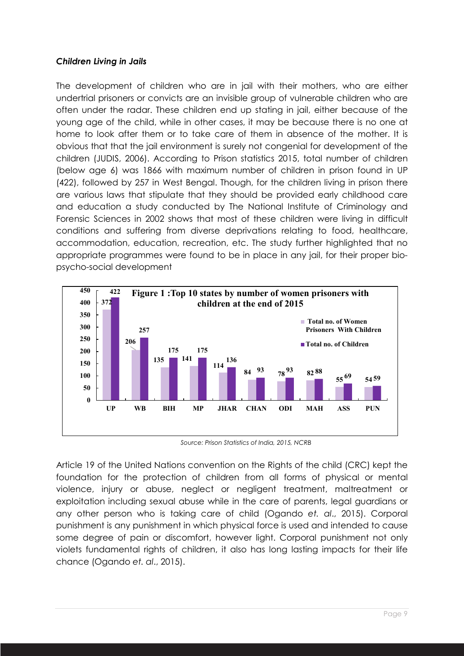#### *Children Living in Jails*

The development of children who are in jail with their mothers, who are either undertrial prisoners or convicts are an invisible group of vulnerable children who are often under the radar. These children end up stating in jail, either because of the young age of the child, while in other cases, it may be because there is no one at home to look after them or to take care of them in absence of the mother. It is obvious that that the jail environment is surely not congenial for development of the children (JUDIS, 2006). According to Prison statistics 2015, total number of children (below age 6) was 1866 with maximum number of children in prison found in UP (422), followed by 257 in West Bengal. Though, for the children living in prison there are various laws that stipulate that they should be provided early childhood care and education a study conducted by The National Institute of Criminology and Forensic Sciences in 2002 shows that most of these children were living in difficult conditions and suffering from diverse deprivations relating to food, healthcare, accommodation, education, recreation, etc. The study further highlighted that no appropriate programmes were found to be in place in any jail, for their proper biopsycho-social development



*Source: Prison Statistics of India, 2015, NCRB*

Article 19 of the United Nations convention on the Rights of the child (CRC) kept the foundation for the protection of children from all forms of physical or mental violence, injury or abuse, neglect or negligent treatment, maltreatment or exploitation including sexual abuse while in the care of parents, legal guardians or any other person who is taking care of child (Ogando *et. al*., 2015). Corporal punishment is any punishment in which physical force is used and intended to cause some degree of pain or discomfort, however light. Corporal punishment not only violets fundamental rights of children, it also has long lasting impacts for their life chance (Ogando *et. al*., 2015).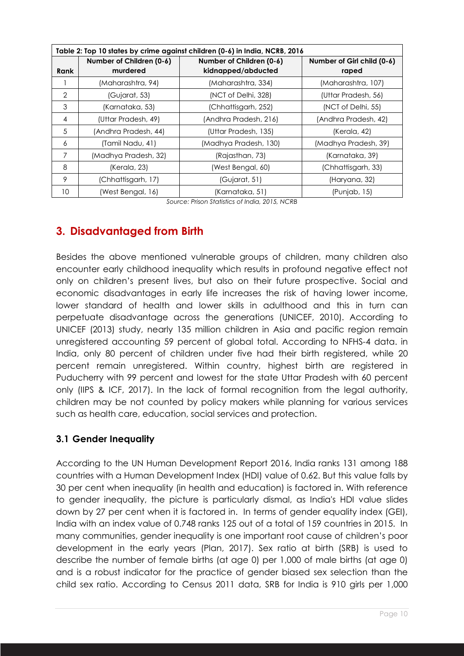| Table 2: Top 10 states by crime against children (0-6) in India, NCRB, 2016 |                                      |                                                |                                     |  |  |  |
|-----------------------------------------------------------------------------|--------------------------------------|------------------------------------------------|-------------------------------------|--|--|--|
| Rank                                                                        | Number of Children (0-6)<br>murdered | Number of Children (0-6)<br>kidnapped/abducted | Number of Girl child (0-6)<br>raped |  |  |  |
|                                                                             | (Maharashtra, 94)                    | (Maharashtra, 334)                             | (Maharashtra, 107)                  |  |  |  |
| $\overline{2}$                                                              | (Gujarat, 53)                        | (NCT of Delhi, 328)                            | (Uttar Pradesh, 56)                 |  |  |  |
| 3                                                                           | (Karnataka, 53)                      | (Chhattisgarh, 252)                            | (NCT of Delhi, 55)                  |  |  |  |
| $\overline{4}$                                                              | (Uttar Pradesh, 49)                  | (Andhra Pradesh, 216)                          | (Andhra Pradesh, 42)                |  |  |  |
| 5                                                                           | (Andhra Pradesh, 44)                 | (Uttar Pradesh, 135)                           | (Kerala, 42)                        |  |  |  |
| 6                                                                           | (Tamil Nadu, 41)                     | (Madhya Pradesh, 130)                          | (Madhya Pradesh, 39)                |  |  |  |
| 7                                                                           | (Madhya Pradesh, 32)                 | (Rajasthan, 73)                                | (Karnataka, 39)                     |  |  |  |
| 8                                                                           | (Kerala, 23)                         | (West Bengal, 60)                              | (Chhattisgarh, 33)                  |  |  |  |
| 9                                                                           | (Chhattisgarh, 17)                   | (Gujarat, 51)                                  | (Haryana, 32)                       |  |  |  |
| 10                                                                          | (West Bengal, 16)                    | (Karnataka, 51)                                | (Puniab, 15)                        |  |  |  |

*Source: Prison Statistics of India, 2015, NCRB*

# **3. Disadvantaged from Birth**

Besides the above mentioned vulnerable groups of children, many children also encounter early childhood inequality which results in profound negative effect not only on children's present lives, but also on their future prospective. Social and economic disadvantages in early life increases the risk of having lower income, lower standard of health and lower skills in adulthood and this in turn can perpetuate disadvantage across the generations (UNICEF, 2010). According to UNICEF (2013) study, nearly 135 million children in Asia and pacific region remain unregistered accounting 59 percent of global total. According to NFHS-4 data. in India, only 80 percent of children under five had their birth registered, while 20 percent remain unregistered. Within country, highest birth are registered in Puducherry with 99 percent and lowest for the state Uttar Pradesh with 60 percent only (IIPS & ICF, 2017). In the lack of formal recognition from the legal authority, children may be not counted by policy makers while planning for various services such as health care, education, social services and protection.

#### **3.1 Gender Inequality**

According to the UN Human Development Report 2016, India ranks 131 among 188 countries with a Human Development Index (HDI) value of 0.62. But this value falls by 30 per cent when inequality (in health and education) is factored in. With reference to gender inequality, the picture is particularly dismal, as India's HDI value slides down by 27 per cent when it is factored in. In terms of gender equality index (GEI), India with an index value of 0.748 ranks 125 out of a total of 159 countries in 2015. In many communities, gender inequality is one important root cause of children's poor development in the early years (Plan, 2017). Sex ratio at birth (SRB) is used to describe the number of female births (at age 0) per 1,000 of male births (at age 0) and is a robust indicator for the practice of gender biased sex selection than the child sex ratio. According to Census 2011 data, SRB for India is 910 girls per 1,000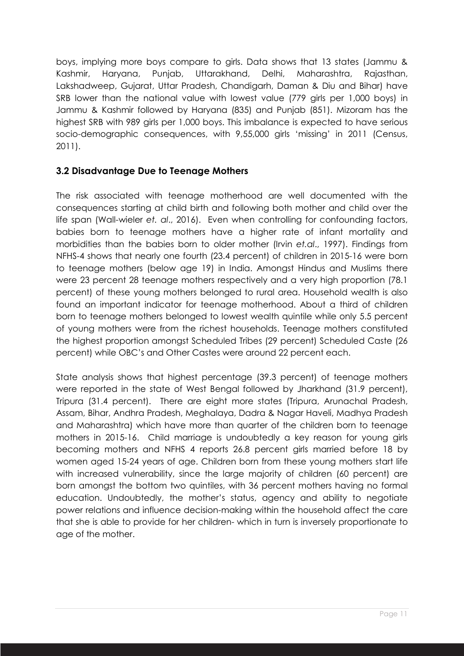boys, implying more boys compare to girls. Data shows that 13 states (Jammu & Kashmir, Haryana, Punjab, Uttarakhand, Delhi, Maharashtra, Rajasthan, Lakshadweep, Gujarat, Uttar Pradesh, Chandigarh, Daman & Diu and Bihar) have SRB lower than the national value with lowest value (779 girls per 1,000 boys) in Jammu & Kashmir followed by Haryana (835) and Punjab (851). Mizoram has the highest SRB with 989 girls per 1,000 boys. This imbalance is expected to have serious socio-demographic consequences, with 9,55,000 girls 'missing' in 2011 (Census, 2011).

#### **3.2 Disadvantage Due to Teenage Mothers**

The risk associated with teenage motherhood are well documented with the consequences starting at child birth and following both mother and child over the life span (Wall-wieler *et. al*., 2016). Even when controlling for confounding factors, babies born to teenage mothers have a higher rate of infant mortality and morbidities than the babies born to older mother (Irvin *et.al*., 1997). Findings from NFHS-4 shows that nearly one fourth (23.4 percent) of children in 2015-16 were born to teenage mothers (below age 19) in India. Amongst Hindus and Muslims there were 23 percent 28 teenage mothers respectively and a very high proportion (78.1 percent) of these young mothers belonged to rural area. Household wealth is also found an important indicator for teenage motherhood. About a third of children born to teenage mothers belonged to lowest wealth quintile while only 5.5 percent of young mothers were from the richest households. Teenage mothers constituted the highest proportion amongst Scheduled Tribes (29 percent) Scheduled Caste (26 percent) while OBC's and Other Castes were around 22 percent each.

State analysis shows that highest percentage (39.3 percent) of teenage mothers were reported in the state of West Bengal followed by Jharkhand (31.9 percent), Tripura (31.4 percent). There are eight more states (Tripura, Arunachal Pradesh, Assam, Bihar, Andhra Pradesh, Meghalaya, Dadra & Nagar Haveli, Madhya Pradesh and Maharashtra) which have more than quarter of the children born to teenage mothers in 2015-16. Child marriage is undoubtedly a key reason for young girls becoming mothers and NFHS 4 reports 26.8 percent girls married before 18 by women aged 15-24 years of age. Children born from these young mothers start life with increased vulnerability, since the large majority of children (60 percent) are born amongst the bottom two quintiles, with 36 percent mothers having no formal education. Undoubtedly, the mother's status, agency and ability to negotiate power relations and influence decision-making within the household affect the care that she is able to provide for her children- which in turn is inversely proportionate to age of the mother.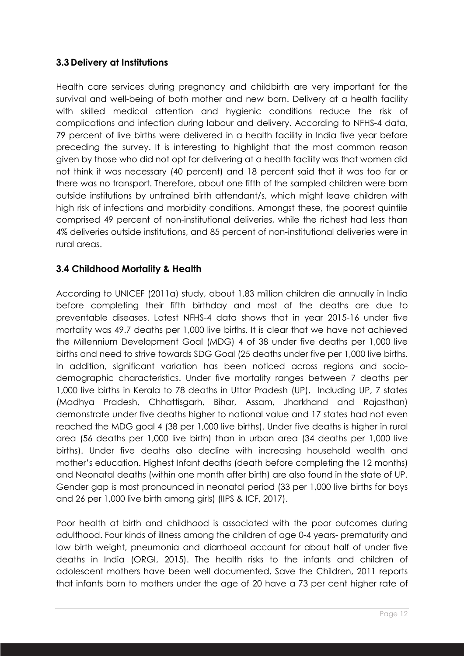#### **3.3 Delivery at Institutions**

Health care services during pregnancy and childbirth are very important for the survival and well-being of both mother and new born. Delivery at a health facility with skilled medical attention and hygienic conditions reduce the risk of complications and infection during labour and delivery. According to NFHS-4 data, 79 percent of live births were delivered in a health facility in India five year before preceding the survey. It is interesting to highlight that the most common reason given by those who did not opt for delivering at a health facility was that women did not think it was necessary (40 percent) and 18 percent said that it was too far or there was no transport. Therefore, about one fifth of the sampled children were born outside institutions by untrained birth attendant/s, which might leave children with high risk of infections and morbidity conditions. Amongst these, the poorest quintile comprised 49 percent of non-institutional deliveries, while the richest had less than 4% deliveries outside institutions, and 85 percent of non-institutional deliveries were in rural areas.

#### **3.4 Childhood Mortality & Health**

According to UNICEF (2011a) study, about 1.83 million children die annually in India before completing their fifth birthday and most of the deaths are due to preventable diseases. Latest NFHS-4 data shows that in year 2015-16 under five mortality was 49.7 deaths per 1,000 live births. It is clear that we have not achieved the Millennium Development Goal (MDG) 4 of 38 under five deaths per 1,000 live births and need to strive towards SDG Goal (25 deaths under five per 1,000 live births. In addition, significant variation has been noticed across regions and sociodemographic characteristics. Under five mortality ranges between 7 deaths per 1,000 live births in Kerala to 78 deaths in Uttar Pradesh (UP). Including UP, 7 states (Madhya Pradesh, Chhattisgarh, Bihar, Assam, Jharkhand and Rajasthan) demonstrate under five deaths higher to national value and 17 states had not even reached the MDG goal 4 (38 per 1,000 live births). Under five deaths is higher in rural area (56 deaths per 1,000 live birth) than in urban area (34 deaths per 1,000 live births). Under five deaths also decline with increasing household wealth and mother's education. Highest Infant deaths (death before completing the 12 months) and Neonatal deaths (within one month after birth) are also found in the state of UP. Gender gap is most pronounced in neonatal period (33 per 1,000 live births for boys and 26 per 1,000 live birth among girls) (IIPS & ICF, 2017).

Poor health at birth and childhood is associated with the poor outcomes during adulthood. Four kinds of illness among the children of age 0-4 years- prematurity and low birth weight, pneumonia and diarrhoeal account for about half of under five deaths in India (ORGI, 2015). The health risks to the infants and children of adolescent mothers have been well documented. Save the Children, 2011 reports that infants born to mothers under the age of 20 have a 73 per cent higher rate of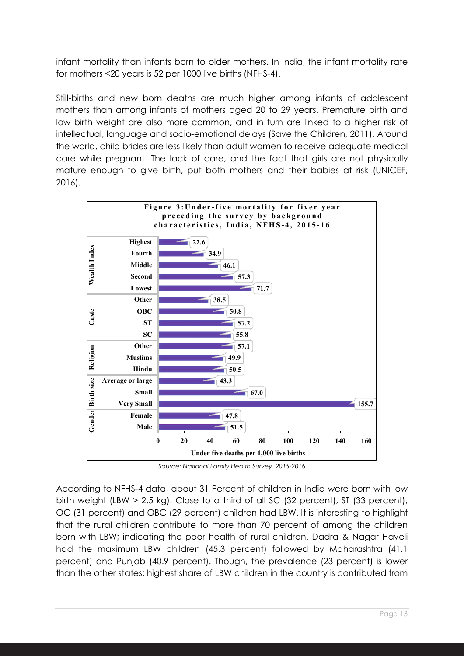infant mortality than infants born to older mothers. In India, the infant mortality rate for mothers <20 years is 52 per 1000 live births (NFHS-4).

Still-births and new born deaths are much higher among infants of adolescent mothers than among infants of mothers aged 20 to 29 years. Premature birth and low birth weight are also more common, and in turn are linked to a higher risk of intellectual, language and socio-emotional delays (Save the Children, 2011). Around the world, child brides are less likely than adult women to receive adequate medical care while pregnant. The lack of care, and the fact that girls are not physically mature enough to give birth, put both mothers and their babies at risk (UNICEF, 2016).



*Source: National Family Health Survey, 2015-2016*

According to NFHS-4 data, about 31 Percent of children in India were born with low birth weight (LBW > 2.5 kg). Close to a third of all SC (32 percent), ST (33 percent), OC (31 percent) and OBC (29 percent) children had LBW. It is interesting to highlight that the rural children contribute to more than 70 percent of among the children born with LBW; indicating the poor health of rural children. Dadra & Nagar Haveli had the maximum LBW children (45.3 percent) followed by Maharashtra (41.1 percent) and Punjab (40.9 percent). Though, the prevalence (23 percent) is lower than the other states; highest share of LBW children in the country is contributed from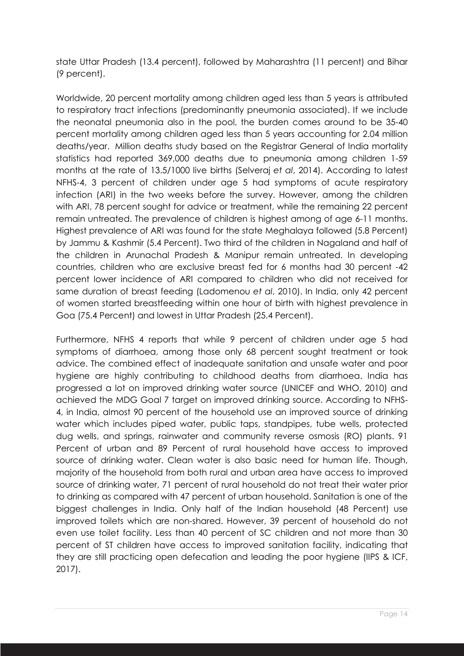state Uttar Pradesh (13.4 percent), followed by Maharashtra (11 percent) and Bihar (9 percent).

Worldwide, 20 percent mortality among children aged less than 5 years is attributed to respiratory tract infections (predominantly pneumonia associated). If we include the neonatal pneumonia also in the pool, the burden comes around to be 35-40 percent mortality among children aged less than 5 years accounting for 2.04 million deaths/year. Million deaths study based on the Registrar General of India mortality statistics had reported 369,000 deaths due to pneumonia among children 1-59 months at the rate of 13.5/1000 live births (Selveraj *et al*, 2014). According to latest NFHS-4, 3 percent of children under age 5 had symptoms of acute respiratory infection (ARI) in the two weeks before the survey. However, among the children with ARI, 78 percent sought for advice or treatment, while the remaining 22 percent remain untreated. The prevalence of children is highest among of age 6-11 months. Highest prevalence of ARI was found for the state Meghalaya followed (5.8 Percent) by Jammu & Kashmir (5.4 Percent). Two third of the children in Nagaland and half of the children in Arunachal Pradesh & Manipur remain untreated. In developing countries, children who are exclusive breast fed for 6 months had 30 percent -42 percent lower incidence of ARI compared to children who did not received for same duration of breast feeding (Ladomenou *et al*, 2010). In India, only 42 percent of women started breastfeeding within one hour of birth with highest prevalence in Goa (75.4 Percent) and lowest in Uttar Pradesh (25.4 Percent).

Furthermore, NFHS 4 reports that while 9 percent of children under age 5 had symptoms of diarrhoea, among those only 68 percent sought treatment or took advice. The combined effect of inadequate sanitation and unsafe water and poor hygiene are highly contributing to childhood deaths from diarrhoea. India has progressed a lot on improved drinking water source (UNICEF and WHO, 2010) and achieved the MDG Goal 7 target on improved drinking source. According to NFHS-4, in India, almost 90 percent of the household use an improved source of drinking water which includes piped water, public taps, standpipes, tube wells, protected dug wells, and springs, rainwater and community reverse osmosis (RO) plants. 91 Percent of urban and 89 Percent of rural household have access to improved source of drinking water. Clean water is also basic need for human life. Though, majority of the household from both rural and urban area have access to improved source of drinking water, 71 percent of rural household do not treat their water prior to drinking as compared with 47 percent of urban household. Sanitation is one of the biggest challenges in India. Only half of the Indian household (48 Percent) use improved toilets which are non-shared. However, 39 percent of household do not even use toilet facility. Less than 40 percent of SC children and not more than 30 percent of ST children have access to improved sanitation facility, indicating that they are still practicing open defecation and leading the poor hygiene (IIPS & ICF, 2017).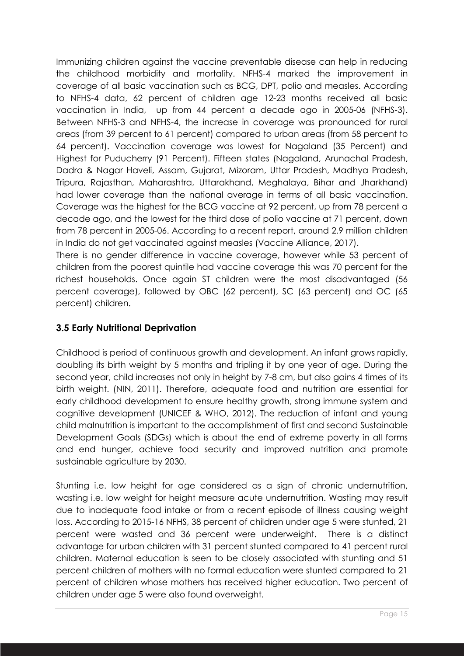Immunizing children against the vaccine preventable disease can help in reducing the childhood morbidity and mortality. NFHS-4 marked the improvement in coverage of all basic vaccination such as BCG, DPT, polio and measles. According to NFHS-4 data, 62 percent of children age 12-23 months received all basic vaccination in India, up from 44 percent a decade ago in 2005-06 (NFHS-3). Between NFHS-3 and NFHS-4, the increase in coverage was pronounced for rural areas (from 39 percent to 61 percent) compared to urban areas (from 58 percent to 64 percent). Vaccination coverage was lowest for Nagaland (35 Percent) and Highest for Puducherry (91 Percent). Fifteen states (Nagaland, Arunachal Pradesh, Dadra & Nagar Haveli, Assam, Gujarat, Mizoram, Uttar Pradesh, Madhya Pradesh, Tripura, Rajasthan, Maharashtra, Uttarakhand, Meghalaya, Bihar and Jharkhand) had lower coverage than the national average in terms of all basic vaccination. Coverage was the highest for the BCG vaccine at 92 percent, up from 78 percent a decade ago, and the lowest for the third dose of polio vaccine at 71 percent, down from 78 percent in 2005-06. According to a recent report, around 2.9 million children in India do not get vaccinated against measles (Vaccine Alliance, 2017).

There is no gender difference in vaccine coverage, however while 53 percent of children from the poorest quintile had vaccine coverage this was 70 percent for the richest households. Once again ST children were the most disadvantaged (56 percent coverage), followed by OBC (62 percent), SC (63 percent) and OC (65 percent) children.

## **3.5 Early Nutritional Deprivation**

Childhood is period of continuous growth and development. An infant grows rapidly, doubling its birth weight by 5 months and tripling it by one year of age. During the second year, child increases not only in height by 7-8 cm, but also gains 4 times of its birth weight. (NIN, 2011). Therefore, adequate food and nutrition are essential for early childhood development to ensure healthy growth, strong immune system and cognitive development (UNICEF & WHO, 2012). The reduction of infant and young child malnutrition is important to the accomplishment of first and second Sustainable Development Goals (SDGs) which is about the end of extreme poverty in all forms and end hunger, achieve food security and improved nutrition and promote sustainable agriculture by 2030.

Stunting i.e. low height for age considered as a sign of chronic undernutrition, wasting i.e. low weight for height measure acute undernutrition. Wasting may result due to inadequate food intake or from a recent episode of illness causing weight loss. According to 2015-16 NFHS, 38 percent of children under age 5 were stunted, 21 percent were wasted and 36 percent were underweight. There is a distinct advantage for urban children with 31 percent stunted compared to 41 percent rural children. Maternal education is seen to be closely associated with stunting and 51 percent children of mothers with no formal education were stunted compared to 21 percent of children whose mothers has received higher education. Two percent of children under age 5 were also found overweight.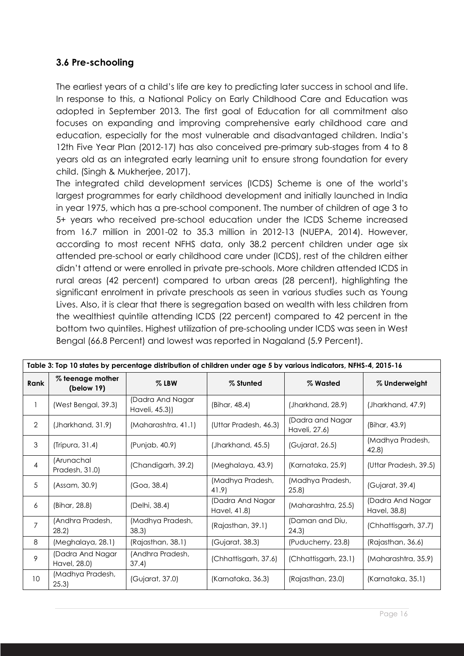#### **3.6 Pre-schooling**

The earliest years of a child's life are key to predicting later success in school and life. In response to this, a National Policy on Early Childhood Care and Education was adopted in September 2013. The first goal of Education for all commitment also focuses on expanding and improving comprehensive early childhood care and education, especially for the most vulnerable and disadvantaged children. India's 12th Five Year Plan (2012-17) has also conceived pre-primary sub-stages from 4 to 8 years old as an integrated early learning unit to ensure strong foundation for every child. (Singh & Mukherjee, 2017).

The integrated child development services (ICDS) Scheme is one of the world's largest programmes for early childhood development and initially launched in India in year 1975, which has a pre-school component. The number of children of age 3 to 5+ years who received pre-school education under the ICDS Scheme increased from 16.7 million in 2001-02 to 35.3 million in 2012-13 (NUEPA, 2014). However, according to most recent NFHS data, only 38.2 percent children under age six attended pre-school or early childhood care under (ICDS), rest of the children either didn't attend or were enrolled in private pre-schools. More children attended ICDS in rural areas (42 percent) compared to urban areas (28 percent), highlighting the significant enrolment in private preschools as seen in various studies such as Young Lives. Also, it is clear that there is segregation based on wealth with less children from the wealthiest quintile attending ICDS (22 percent) compared to 42 percent in the bottom two quintiles. Highest utilization of pre-schooling under ICDS was seen in West Bengal (66.8 Percent) and lowest was reported in Nagaland (5.9 Percent).

| Table 3: Top 10 states by percentage distribution of children under age 5 by various indicators, NFHS-4, 2015-16 |                                  |                                   |                                  |                                   |                                  |  |
|------------------------------------------------------------------------------------------------------------------|----------------------------------|-----------------------------------|----------------------------------|-----------------------------------|----------------------------------|--|
| Rank                                                                                                             | % teenage mother<br>(below 19)   | $%$ LBW                           | % Stunted                        | % Wasted                          | % Underweight                    |  |
|                                                                                                                  | (West Bengal, 39.3)              | (Dadra And Nagar<br>Haveli, 45.3) | (Bihar, 48.4)                    | (Jharkhand, 28.9)                 | (Jharkhand, 47.9)                |  |
| $\overline{2}$                                                                                                   | (Jharkhand, 31.9)                | (Maharashtra, 41.1)               | (Uttar Pradesh, 46.3)            | (Dadra and Nagar<br>Haveli, 27.6) | (Bihar, 43.9)                    |  |
| $\mathfrak{S}$                                                                                                   | (Tripura, 31.4)                  | (Punjab, 40.9)                    | (Jharkhand, 45.5)                | (Gujarat, 26.5)                   | (Madhya Pradesh,<br>42.8)        |  |
| 4                                                                                                                | (Arunachal<br>Pradesh, 31.0)     | (Chandigarh, 39.2)                | (Meghalaya, 43.9)                | (Karnataka, 25.9)                 | (Uttar Pradesh, 39.5)            |  |
| 5                                                                                                                | (Assam, 30.9)                    | (Goa, 38.4)                       | (Madhya Pradesh,<br>41.9)        | (Madhya Pradesh,<br>(25.8)        | (Gujarat, 39.4)                  |  |
| 6                                                                                                                | (Bihar, 28.8)                    | (Delhi, 38.4)                     | (Dadra And Nagar<br>Havel, 41.8) | (Maharashtra, 25.5)               | (Dadra And Nagar<br>Havel, 38.8) |  |
| 7                                                                                                                | (Andhra Pradesh,<br>28.2         | (Madhya Pradesh,<br>38.3          | (Rajasthan, 39.1)                | (Daman and Diu,<br>24.3           | (Chhattisgarh, 37.7)             |  |
| 8                                                                                                                | (Meghalaya, 28.1)                | (Rajasthan, 38.1)                 | (Gujarat, 38.3)                  | (Puducherry, 23.8)                | (Rajasthan, 36.6)                |  |
| 9                                                                                                                | (Dadra And Nagar<br>Havel, 28.0) | (Andhra Pradesh,<br>37.4)         | (Chhattisgarh, 37.6)             | (Chhattisgarh, 23.1)              | (Maharashtra, 35.9)              |  |
| 10 <sup>°</sup>                                                                                                  | (Madhya Pradesh,<br>25.3)        | (Gujarat, 37.0)                   | (Karnataka, 36.3)                | (Rajasthan, 23.0)                 | (Karnataka, 35.1)                |  |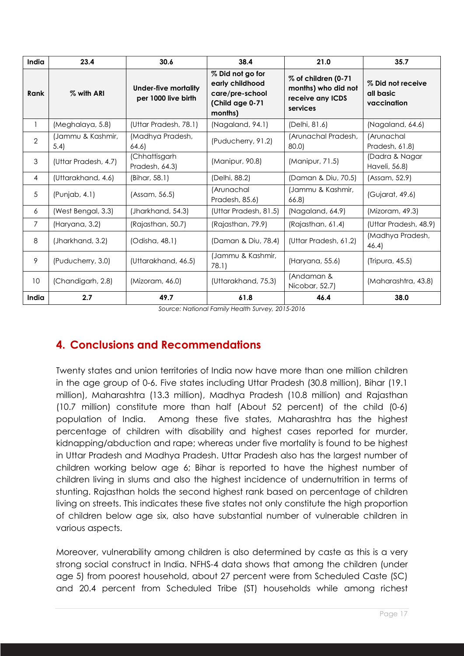| India          | 23.4                     | 30.6                                        | 38.4                                                                                 | 21.0                                                                       | 35.7                                          |
|----------------|--------------------------|---------------------------------------------|--------------------------------------------------------------------------------------|----------------------------------------------------------------------------|-----------------------------------------------|
| Rank           | % with ARI               | Under-five mortality<br>per 1000 live birth | % Did not go for<br>early childhood<br>care/pre-school<br>(Child age 0-71<br>months) | % of children (0-71<br>months) who did not<br>receive any ICDS<br>services | % Did not receive<br>all basic<br>vaccination |
| 1              | (Meghalaya, 5.8)         | (Uttar Pradesh, 78.1)                       | (Nagaland, 94.1)                                                                     | (Delhi, 81.6)                                                              | (Nagaland, 64.6)                              |
| $\overline{2}$ | (Jammu & Kashmir,<br>5.4 | (Madhya Pradesh,<br>64.6)                   | (Puducherry, 91.2)                                                                   | (Arunachal Pradesh,<br>80.0)                                               | (Arunachal<br>Pradesh, 61.8)                  |
| 3              | (Uttar Pradesh, 4.7)     | (Chhattisgarh<br>Pradesh, 64.3)             | (Manipur, 90.8)                                                                      | (Manipur, 71.5)                                                            | (Dadra & Nagar<br>Haveli, 56.8)               |
| $\overline{4}$ | (Uttarakhand, 4.6)       | (Bihar, 58.1)                               | (Delhi, 88.2)                                                                        | (Daman & Diu, 70.5)                                                        | (Assam, 52.9)                                 |
| 5              | (Punjab, 4.1)            | (Assam, 56.5)                               | (Arunachal<br>Pradesh, 85.6)                                                         | (Jammu & Kashmir,<br>66.8                                                  | (Gujarat, 49.6)                               |
| 6              | (West Bengal, 3.3)       | (Jharkhand, 54.3)                           | (Uttar Pradesh, 81.5)                                                                | (Nagaland, 64.9)                                                           | (Mizoram, 49.3)                               |
| 7              | (Haryana, 3.2)           | (Rajasthan, 50.7)                           | (Rajasthan, 79.9)                                                                    | (Rajasthan, 61.4)                                                          | (Uttar Pradesh, 48.9)                         |
| 8              | (Jharkhand, 3.2)         | (Odisha, 48.1)                              | (Daman & Diu, 78.4)                                                                  | (Uttar Pradesh, 61.2)                                                      | (Madhya Pradesh,<br>46.4)                     |
| 9              | (Puducherry, 3.0)        | (Uttarakhand, 46.5)                         | (Jammu & Kashmir,<br>78.1)                                                           | (Haryana, 55.6)                                                            | (Tripura, 45.5)                               |
| 10             | (Chandigarh, 2.8)        | (Mizoram, 46.0)                             | (Uttarakhand, 75.3)                                                                  | (Andaman &<br>Nicobar, 52.7)                                               | (Maharashtra, 43.8)                           |
| India          | 2.7                      | 49.7                                        | 61.8                                                                                 | 46.4                                                                       | 38.0                                          |

*Source: National Family Health Survey, 2015-2016*

# **4. Conclusions and Recommendations**

Twenty states and union territories of India now have more than one million children in the age group of 0-6. Five states including Uttar Pradesh (30.8 million), Bihar (19.1 million), Maharashtra (13.3 million), Madhya Pradesh (10.8 million) and Rajasthan (10.7 million) constitute more than half (About 52 percent) of the child (0-6) population of India. Among these five states, Maharashtra has the highest percentage of children with disability and highest cases reported for murder, kidnapping/abduction and rape; whereas under five mortality is found to be highest in Uttar Pradesh and Madhya Pradesh. Uttar Pradesh also has the largest number of children working below age 6; Bihar is reported to have the highest number of children living in slums and also the highest incidence of undernutrition in terms of stunting. Rajasthan holds the second highest rank based on percentage of children living on streets. This indicates these five states not only constitute the high proportion of children below age six, also have substantial number of vulnerable children in various aspects.

Moreover, vulnerability among children is also determined by caste as this is a very strong social construct in India. NFHS-4 data shows that among the children (under age 5) from poorest household, about 27 percent were from Scheduled Caste (SC) and 20.4 percent from Scheduled Tribe (ST) households while among richest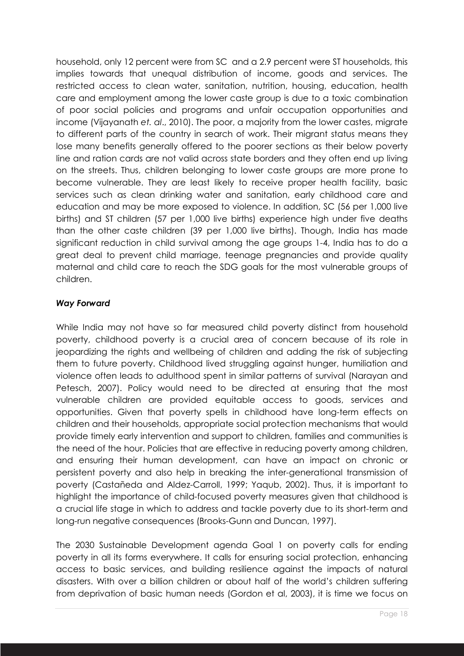household, only 12 percent were from SC and a 2.9 percent were ST households, this implies towards that unequal distribution of income, goods and services. The restricted access to clean water, sanitation, nutrition, housing, education, health care and employment among the lower caste group is due to a toxic combination of poor social policies and programs and unfair occupation opportunities and income (Vijayanath *et. al*., 2010). The poor, a majority from the lower castes, migrate to different parts of the country in search of work. Their migrant status means they lose many benefits generally offered to the poorer sections as their below poverty line and ration cards are not valid across state borders and they often end up living on the streets. Thus, children belonging to lower caste groups are more prone to become vulnerable. They are least likely to receive proper health facility, basic services such as clean drinking water and sanitation, early childhood care and education and may be more exposed to violence. In addition, SC (56 per 1,000 live births) and ST children (57 per 1,000 live births) experience high under five deaths than the other caste children (39 per 1,000 live births). Though, India has made significant reduction in child survival among the age groups 1-4, India has to do a great deal to prevent child marriage, teenage pregnancies and provide quality maternal and child care to reach the SDG goals for the most vulnerable groups of children.

#### *Way Forward*

While India may not have so far measured child poverty distinct from household poverty, childhood poverty is a crucial area of concern because of its role in jeopardizing the rights and wellbeing of children and adding the risk of subjecting them to future poverty. Childhood lived struggling against hunger, humiliation and violence often leads to adulthood spent in similar patterns of survival (Narayan and Petesch, 2007). Policy would need to be directed at ensuring that the most vulnerable children are provided equitable access to goods, services and opportunities. Given that poverty spells in childhood have long-term effects on children and their households, appropriate social protection mechanisms that would provide timely early intervention and support to children, families and communities is the need of the hour. Policies that are effective in reducing poverty among children, and ensuring their human development, can have an impact on chronic or persistent poverty and also help in breaking the inter-generational transmission of poverty (Castañeda and Aldez-Carroll, 1999; Yaqub, 2002). Thus, it is important to highlight the importance of child-focused poverty measures given that childhood is a crucial life stage in which to address and tackle poverty due to its short-term and long-run negative consequences (Brooks-Gunn and Duncan, 1997).

The 2030 Sustainable Development agenda Goal 1 on poverty calls for ending poverty in all its forms everywhere. It calls for ensuring social protection, enhancing access to basic services, and building resilience against the impacts of natural disasters. With over a billion children or about half of the world's children suffering from deprivation of basic human needs (Gordon et al, 2003), it is time we focus on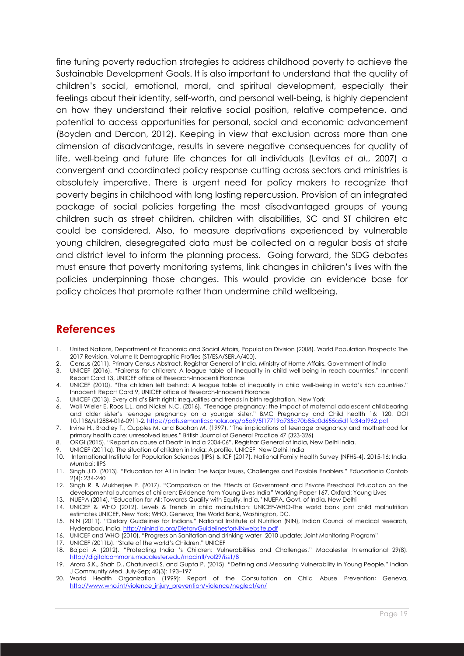fine tuning poverty reduction strategies to address childhood poverty to achieve the Sustainable Development Goals. It is also important to understand that the quality of children's social, emotional, moral, and spiritual development, especially their feelings about their identity, self-worth, and personal well-being, is highly dependent on how they understand their relative social position, relative competence, and potential to access opportunities for personal, social and economic advancement (Boyden and Dercon, 2012). Keeping in view that exclusion across more than one dimension of disadvantage, results in severe negative consequences for quality of life, well-being and future life chances for all individuals (Levitas *et al*., 2007) a convergent and coordinated policy response cutting across sectors and ministries is absolutely imperative. There is urgent need for policy makers to recognize that poverty begins in childhood with long lasting repercussion. Provision of an integrated package of social policies targeting the most disadvantaged groups of young children such as street children, children with disabilities, SC and ST children etc could be considered. Also, to measure deprivations experienced by vulnerable young children, desegregated data must be collected on a regular basis at state and district level to inform the planning process. Going forward, the SDG debates must ensure that poverty monitoring systems, link changes in children's lives with the policies underpinning those changes. This would provide an evidence base for policy choices that promote rather than undermine child wellbeing.

# **References**

- 1. United Nations, Department of Economic and Social Affairs, Population Division (2008). World Population Prospects: The 2017 Revision, Volume II: Demographic Profiles (ST/ESA/SER.A/400).
- 2. Census (2011). Primary Census Abstract, Registrar General of India, Ministry of Home Affairs, Government of India
- 3. UNICEF (2016). "Fairenss for children: A league table of inequality in child well-being in reach countries." Innocenti Report Card 13, UNICEF office of Research-Innocenti Florance
- 4. UNICEF (2010). "The children left behind: A league table of inequality in child well-being in world's rich countries." Innocenti Report Card 9, UNICEF office of Research-Innocenti Florance
- 5. UNICEF (2013). Every child's Birth right: Inequalities and trends in birth registration. New York
- 6. Wall-Wieler E, Roos L.L. and Nickel N.C. (2016). "Teenage pregnancy: the impact of maternal adolescent childbearing and older sister's teenage pregnancy on a younger sister." BMC Pregnancy and Child health 16: 120. DOI 10.1186/s12884-016-0911-2. https://pdfs.semanticscholar.org/b5a9/5f17719a735c70b85c0d655a5d1fc34af962.pdf
- 7. Irvine H., Bradley T., Cupples M. and Boohan M. (1997). "The implications of teenage pregnancy and motherhood for primary health care: unresolved issues." British Journal of General Practice 47 (323-326)
- 8. ORGI (2015). "Report on cause of Death in India 2004-06". Registrar General of India, New Delhi India.
- 9. UNICEF (2011a). The situation of children in India: A profile. UNICEF, New Delhi, India
- 10. International Institute for Population Sciences (IIPS) & ICF (2017). National Family Health Survey (NFHS-4), 2015-16: India, Mumbai: IIPS
- 11. Singh J.D. (2013). "Education for All in India: The Major Issues, Challenges and Possible Enablers." Educationia Confab 2(4): 234-240
- 12. Singh R. & Mukherjee P. (2017). "Comparison of the Effects of Government and Private Preschool Education on the developmental outcomes of children: Evidence from Young Lives India" Working Paper 167, Oxford: Young Lives
- 13. NUEPA (2014). "Education for All: Towards Quality with Equity, India." NUEPA, Govt. of India, New Delhi
- 14. UNICEF & WHO (2012). Levels & Trends in child malnutrition: UNICEF-WHO-The world bank joint child malnutrition estimates UNICEF, New York; WHO, Geneva; The World Bank, Washington, DC.
- 15. NIN (2011). "Dietary Guidelines for Indians." National Institute of Nutrition (NIN), Indian Council of medical research, Hyderabad, India. http://ninindia.org/DietaryGuidelinesforNINwebsite.pdf
- 16. UNICEF and WHO (2010). "Progress on Sanitation and drinking water- 2010 update; Joint Monitoring Program"
- 17. UNICEF (2011b). "State of the world's Children." UNICEF
- 18. Bajpai A (2012). "Protecting India 's Children: Vulnerabilities and Challenges." Macalester International 29(8). http://digitalcommons.macalester.edu/macintl/vol29/iss1/8
- 19. Arora S.K., Shah D., Chaturvedi S. and Gupta P. (2015). "Defining and Measuring Vulnerability in Young People." Indian J Community Med. July-Sep; 40(3): 193–197
- 20. World Health Organization (1999): Report of the Consultation on Child Abuse Prevention; Geneva, http://www.who.int/violence\_injury\_prevention/violence/neglect/en/